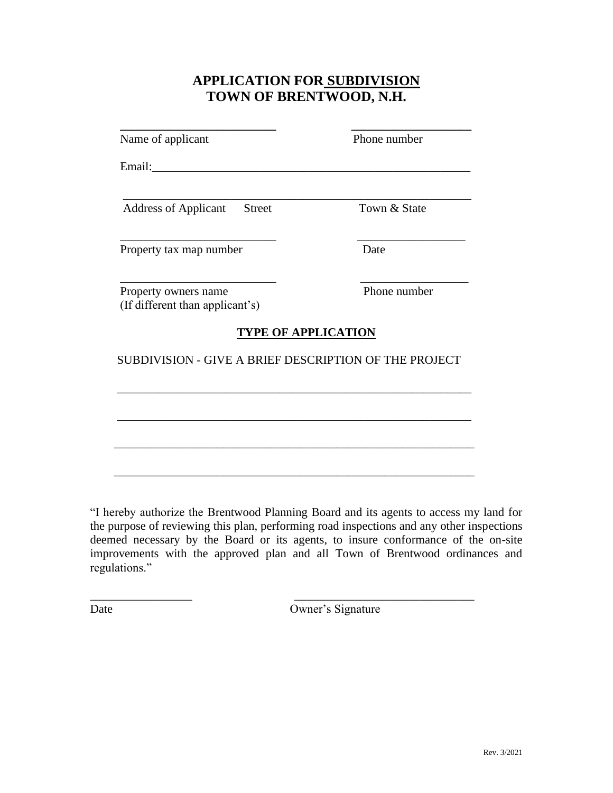## **APPLICATION FOR SUBDIVISION TOWN OF BRENTWOOD, N.H.**

| Address of Applicant Street                             | Town & State |
|---------------------------------------------------------|--------------|
|                                                         |              |
| Property tax map number                                 | Date         |
| Property owners name<br>(If different than applicant's) | Phone number |
| <b>TYPE OF APPLICATION</b>                              |              |
| SUBDIVISION - GIVE A BRIEF DESCRIPTION OF THE PROJECT   |              |
|                                                         |              |
|                                                         |              |

"I hereby authorize the Brentwood Planning Board and its agents to access my land for the purpose of reviewing this plan, performing road inspections and any other inspections deemed necessary by the Board or its agents, to insure conformance of the on-site improvements with the approved plan and all Town of Brentwood ordinances and regulations."

 $\overline{\phantom{a}}$  , and the contract of the contract of the contract of the contract of the contract of the contract of the contract of the contract of the contract of the contract of the contract of the contract of the contrac

Date Owner's Signature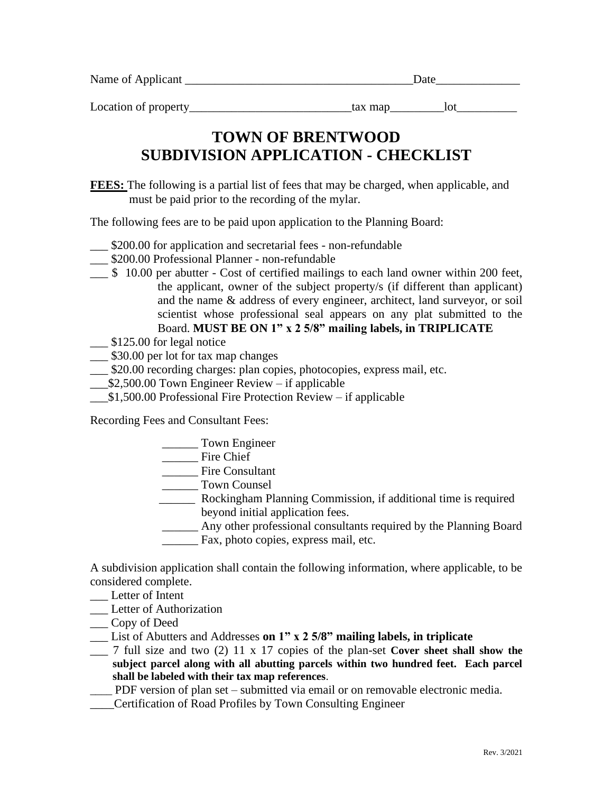| Name of Applicant | )ate |  |
|-------------------|------|--|
|                   |      |  |

Location of property\_\_\_\_\_\_\_\_\_\_\_\_\_\_\_\_\_\_\_\_\_\_\_\_\_\_\_\_\_tax map\_\_\_\_\_\_\_\_\_\_lot\_\_\_\_\_\_\_\_\_\_\_

## **SUBDIVISION APPLICATION - CHECKLIST TOWN OF BRENTWOOD**

must be paid prior to the recording of the mylar. **FEES:** The following is a partial list of fees that may be charged, when applicable, and

The following fees are to be paid upon application to the Planning Board:

- \_\_\_ \$200.00 for application and secretarial fees non-refundable
- \_\_\_ \$200.00 Professional Planner non-refundable
- Board. **MUST BE ON 1" x 2 5/8" mailing labels, in TRIPLICATE** scientist whose professional seal appears on any plat submitted to the and the name & address of every engineer, architect, land surveyor, or soil the applicant, owner of the subject property/s (if different than applicant) \_\_\_ \$ 10.00 per abutter - Cost of certified mailings to each land owner within 200 feet,
- $\frac{\$125.00}{\$}$  for legal notice
- \_\_\_ \$30.00 per lot for tax map changes
- \_\_\_ \$20.00 recording charges: plan copies, photocopies, express mail, etc.
- \_\_\_\$2,500.00 Town Engineer Review if applicable
- \_\_\_\$1,500.00 Professional Fire Protection Review if applicable

Recording Fees and Consultant Fees:

\_\_\_\_\_\_ Town Engineer

\_\_\_\_\_\_ Fire Chief

\_\_\_\_\_\_ Fire Consultant

\_\_\_\_\_\_ Town Counsel

- beyond initial application fees. \_\_\_\_\_\_ Rockingham Planning Commission, if additional time is required
- \_\_\_\_\_\_ Fax, photo copies, express mail, etc. \_\_\_\_\_\_ Any other professional consultants required by the Planning Board

considered complete. A subdivision application shall contain the following information, where applicable, to be

Letter of Intent

\_\_\_ Letter of Authorization

\_\_\_ Copy of Deed

- \_\_\_ List of Abutters and Addresses **on 1" x 2 5/8" mailing labels, in triplicate**
- **shall be labeled with their tax map references**. **subject parcel along with all abutting parcels within two hundred feet. Each parcel** \_\_\_ 7 full size and two (2) 11 x 17 copies of the plan-set **Cover sheet shall show the**

\_\_\_\_ PDF version of plan set – submitted via email or on removable electronic media.

\_\_\_\_Certification of Road Profiles by Town Consulting Engineer